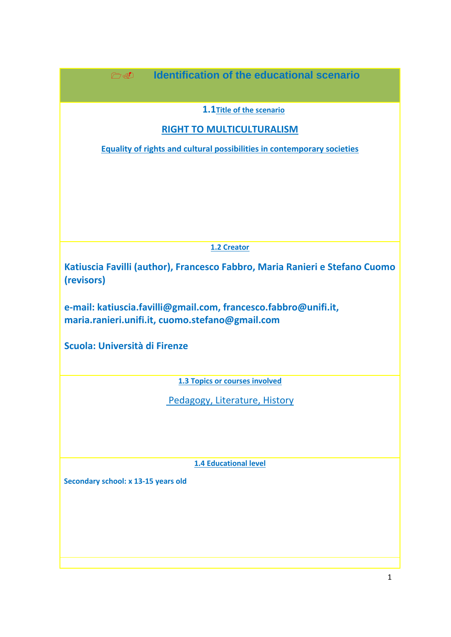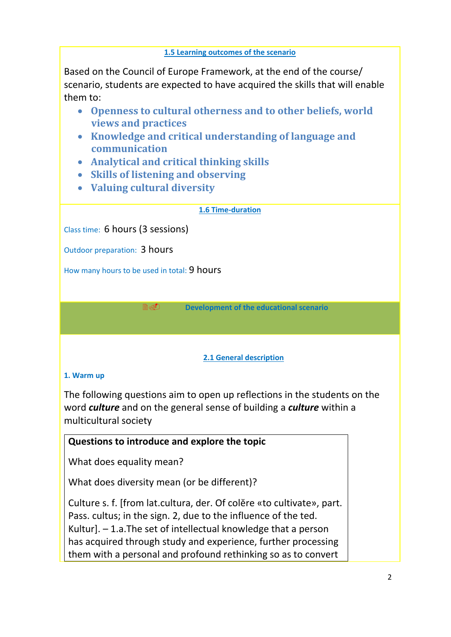#### **1.5 Learning outcomes of the scenario**

Based on the Council of Europe Framework, at the end of the course/ scenario, students are expected to have acquired the skills that will enable them to:

- **Openness to cultural otherness and to other beliefs, world views and practices**
- **Knowledge and critical understanding of language and communication**
- **Analytical and critical thinking skills**
- **Skills of listening and observing**
- **Valuing cultural diversity**

### **1.6 Time-duration**

Class time: 6 hours (3 sessions)

Outdoor preparation: 3 hours

How many hours to be used in total: 9 hours

**Development of the educational scenario**

### **2.1 General description**

## **1. Warm up**

The following questions aim to open up reflections in the students on the word *culture* and on the general sense of building a *culture* within a multicultural society

# **Questions to introduce and explore the topic**

What does equality mean?

What does diversity mean (or be different)?

Culture s. f. [from lat.cultura, der. Of colĕre «to cultivate», part. Pass. cultus; in the sign. 2, due to the influence of the ted. Kultur]. – 1.a.The set of intellectual knowledge that a person has acquired through study and experience, further processing them with a personal and profound rethinking so as to convert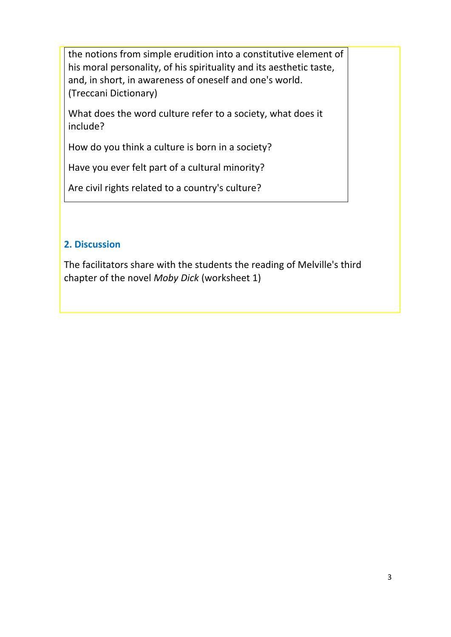the notions from simple erudition into a constitutive element of his moral personality, of his spirituality and its aesthetic taste, and, in short, in awareness of oneself and one's world. (Treccani Dictionary)

What does the word culture refer to a society, what does it include?

How do you think a culture is born in a society?

Have you ever felt part of a cultural minority?

Are civil rights related to a country's culture?

## **2. Discussion**

The facilitators share with the students the reading of Melville's third chapter of the novel *Moby Dick* (worksheet 1)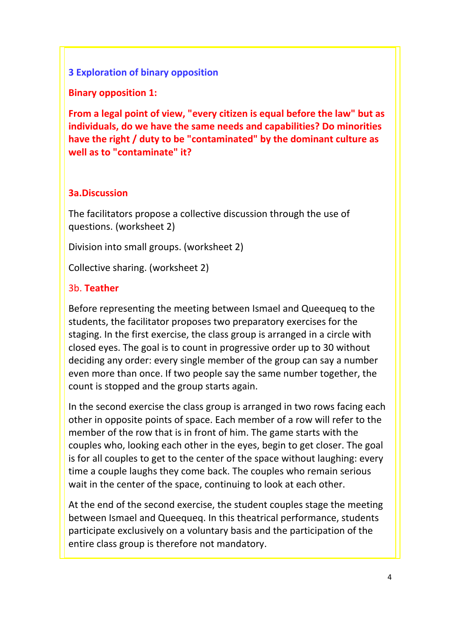### **3 Exploration of binary opposition**

**Binary opposition 1:**

**From a legal point of view, "every citizen is equal before the law" but as individuals, do we have the same needs and capabilities? Do minorities have the right / duty to be "contaminated" by the dominant culture as well as to "contaminate" it?**

## **3a.Discussion**

The facilitators propose a collective discussion through the use of questions. (worksheet 2)

Division into small groups. (worksheet 2)

Collective sharing. (worksheet 2)

### 3b. **Teather**

Before representing the meeting between Ismael and Queequeq to the students, the facilitator proposes two preparatory exercises for the staging. In the first exercise, the class group is arranged in a circle with closed eyes. The goal is to count in progressive order up to 30 without deciding any order: every single member of the group can say a number even more than once. If two people say the same number together, the count is stopped and the group starts again.

In the second exercise the class group is arranged in two rows facing each other in opposite points of space. Each member of a row will refer to the member of the row that is in front of him. The game starts with the couples who, looking each other in the eyes, begin to get closer. The goal is for all couples to get to the center of the space without laughing: every time a couple laughs they come back. The couples who remain serious wait in the center of the space, continuing to look at each other.

At the end of the second exercise, the student couples stage the meeting between Ismael and Queequeq. In this theatrical performance, students participate exclusively on a voluntary basis and the participation of the entire class group is therefore not mandatory.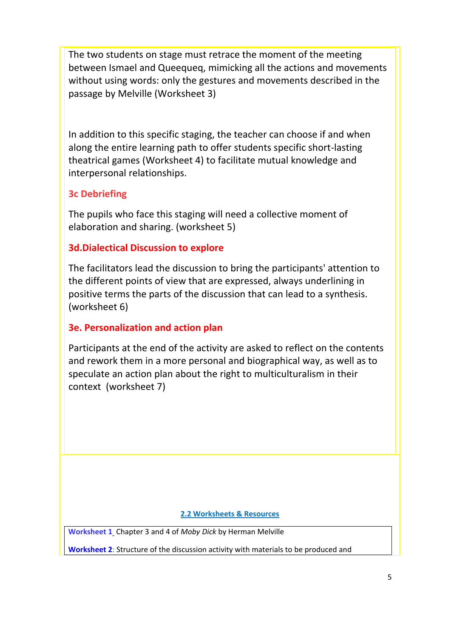The two students on stage must retrace the moment of the meeting between Ismael and Queequeq, mimicking all the actions and movements without using words: only the gestures and movements described in the passage by Melville (Worksheet 3)

In addition to this specific staging, the teacher can choose if and when along the entire learning path to offer students specific short-lasting theatrical games (Worksheet 4) to facilitate mutual knowledge and interpersonal relationships.

## **3c Debriefing**

The pupils who face this staging will need a collective moment of elaboration and sharing. (worksheet 5)

## **3d.Dialectical Discussion to explore**

The facilitators lead the discussion to bring the participants' attention to the different points of view that are expressed, always underlining in positive terms the parts of the discussion that can lead to a synthesis. (worksheet 6)

## **3e. Personalization and action plan**

Participants at the end of the activity are asked to reflect on the contents and rework them in a more personal and biographical way, as well as to speculate an action plan about the right to multiculturalism in their context (worksheet 7)

#### **2.2 Worksheets & Resources**

**Worksheet 1** Chapter 3 and 4 of *Moby Dick* by Herman Melville

**Worksheet 2**: Structure of the discussion activity with materials to be produced and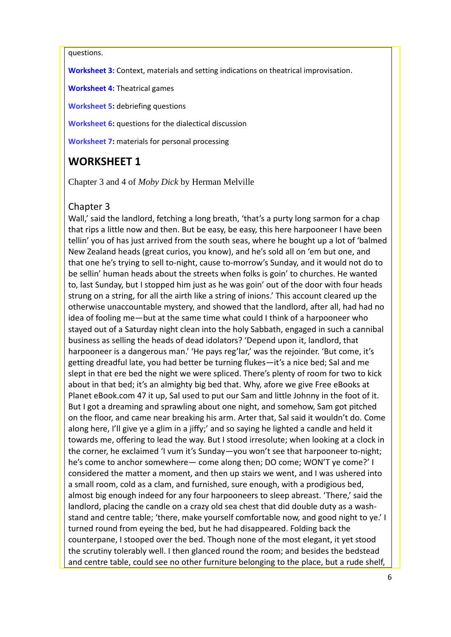#### questions.

**Worksheet 3:** Context, materials and setting indications on theatrical improvisation.

**Worksheet 4:** Theatrical games

**Worksheet 5:** debriefing questions

**Worksheet 6:** questions for the dialectical discussion

**Worksheet 7:** materials for personal processing

# **WORKSHEET 1**

Chapter 3 and 4 of *Moby Dick* by Herman Melville

### Chapter 3

Wall,' said the landlord, fetching a long breath, 'that's a purty long sarmon for a chap that rips a little now and then. But be easy, be easy, this here harpooneer I have been tellin' you of has just arrived from the south seas, where he bought up a lot of 'balmed New Zealand heads (great curios, you know), and he's sold all on 'em but one, and that one he's trying to sell to-night, cause to-morrow's Sunday, and it would not do to be sellin' human heads about the streets when folks is goin' to churches. He wanted to, last Sunday, but I stopped him just as he was goin' out of the door with four heads strung on a string, for all the airth like a string of inions.' This account cleared up the otherwise unaccountable mystery, and showed that the landlord, after all, had had no idea of fooling me—but at the same time what could I think of a harpooneer who stayed out of a Saturday night clean into the holy Sabbath, engaged in such a cannibal business as selling the heads of dead idolators? 'Depend upon it, landlord, that harpooneer is a dangerous man.' 'He pays reg'lar,' was the rejoinder. 'But come, it's getting dreadful late, you had better be turning flukes—it's a nice bed; Sal and me slept in that ere bed the night we were spliced. There's plenty of room for two to kick about in that bed; it's an almighty big bed that. Why, afore we give Free eBooks at Planet eBook.com 47 it up, Sal used to put our Sam and little Johnny in the foot of it. But I got a dreaming and sprawling about one night, and somehow, Sam got pitched on the floor, and came near breaking his arm. Arter that, Sal said it wouldn't do. Come along here, I'll give ye a glim in a jiffy;' and so saying he lighted a candle and held it towards me, offering to lead the way. But I stood irresolute; when looking at a clock in the corner, he exclaimed 'I vum it's Sunday—you won't see that harpooneer to-night; he's come to anchor somewhere— come along then; DO come; WON'T ye come?' I considered the matter a moment, and then up stairs we went, and I was ushered into a small room, cold as a clam, and furnished, sure enough, with a prodigious bed, almost big enough indeed for any four harpooneers to sleep abreast. 'There,' said the landlord, placing the candle on a crazy old sea chest that did double duty as a washstand and centre table; 'there, make yourself comfortable now, and good night to ye.' I turned round from eyeing the bed, but he had disappeared. Folding back the counterpane, I stooped over the bed. Though none of the most elegant, it yet stood the scrutiny tolerably well. I then glanced round the room; and besides the bedstead and centre table, could see no other furniture belonging to the place, but a rude shelf,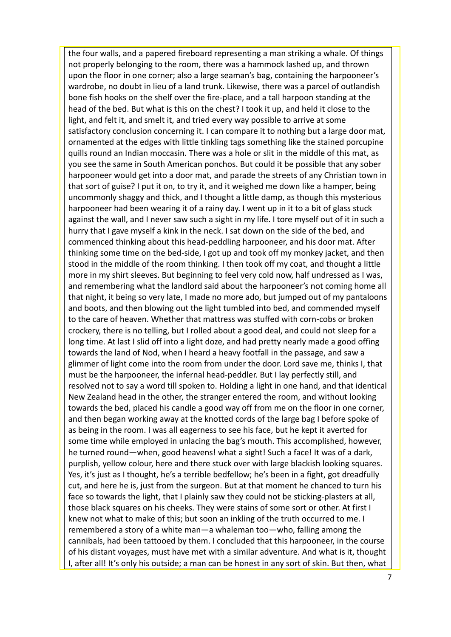the four walls, and a papered fireboard representing a man striking a whale. Of things not properly belonging to the room, there was a hammock lashed up, and thrown upon the floor in one corner; also a large seaman's bag, containing the harpooneer's wardrobe, no doubt in lieu of a land trunk. Likewise, there was a parcel of outlandish bone fish hooks on the shelf over the fire-place, and a tall harpoon standing at the head of the bed. But what is this on the chest? I took it up, and held it close to the light, and felt it, and smelt it, and tried every way possible to arrive at some satisfactory conclusion concerning it. I can compare it to nothing but a large door mat, ornamented at the edges with little tinkling tags something like the stained porcupine quills round an Indian moccasin. There was a hole or slit in the middle of this mat, as you see the same in South American ponchos. But could it be possible that any sober harpooneer would get into a door mat, and parade the streets of any Christian town in that sort of guise? I put it on, to try it, and it weighed me down like a hamper, being uncommonly shaggy and thick, and I thought a little damp, as though this mysterious harpooneer had been wearing it of a rainy day. I went up in it to a bit of glass stuck against the wall, and I never saw such a sight in my life. I tore myself out of it in such a hurry that I gave myself a kink in the neck. I sat down on the side of the bed, and commenced thinking about this head-peddling harpooneer, and his door mat. After thinking some time on the bed-side, I got up and took off my monkey jacket, and then stood in the middle of the room thinking. I then took off my coat, and thought a little more in my shirt sleeves. But beginning to feel very cold now, half undressed as I was, and remembering what the landlord said about the harpooneer's not coming home all that night, it being so very late, I made no more ado, but jumped out of my pantaloons and boots, and then blowing out the light tumbled into bed, and commended myself to the care of heaven. Whether that mattress was stuffed with corn-cobs or broken crockery, there is no telling, but I rolled about a good deal, and could not sleep for a long time. At last I slid off into a light doze, and had pretty nearly made a good offing towards the land of Nod, when I heard a heavy footfall in the passage, and saw a glimmer of light come into the room from under the door. Lord save me, thinks I, that must be the harpooneer, the infernal head-peddler. But I lay perfectly still, and resolved not to say a word till spoken to. Holding a light in one hand, and that identical New Zealand head in the other, the stranger entered the room, and without looking towards the bed, placed his candle a good way off from me on the floor in one corner, and then began working away at the knotted cords of the large bag I before spoke of as being in the room. I was all eagerness to see his face, but he kept it averted for some time while employed in unlacing the bag's mouth. This accomplished, however, he turned round—when, good heavens! what a sight! Such a face! It was of a dark, purplish, yellow colour, here and there stuck over with large blackish looking squares. Yes, it's just as I thought, he's a terrible bedfellow; he's been in a fight, got dreadfully cut, and here he is, just from the surgeon. But at that moment he chanced to turn his face so towards the light, that I plainly saw they could not be sticking-plasters at all, those black squares on his cheeks. They were stains of some sort or other. At first I knew not what to make of this; but soon an inkling of the truth occurred to me. I remembered a story of a white man—a whaleman too—who, falling among the cannibals, had been tattooed by them. I concluded that this harpooneer, in the course of his distant voyages, must have met with a similar adventure. And what is it, thought I, after all! It's only his outside; a man can be honest in any sort of skin. But then, what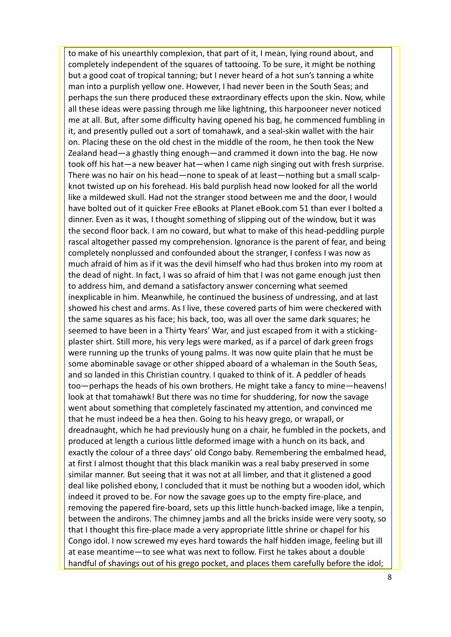to make of his unearthly complexion, that part of it, I mean, lying round about, and completely independent of the squares of tattooing. To be sure, it might be nothing but a good coat of tropical tanning; but I never heard of a hot sun's tanning a white man into a purplish yellow one. However, I had never been in the South Seas; and perhaps the sun there produced these extraordinary effects upon the skin. Now, while all these ideas were passing through me like lightning, this harpooneer never noticed me at all. But, after some difficulty having opened his bag, he commenced fumbling in it, and presently pulled out a sort of tomahawk, and a seal-skin wallet with the hair on. Placing these on the old chest in the middle of the room, he then took the New Zealand head—a ghastly thing enough—and crammed it down into the bag. He now took off his hat—a new beaver hat—when I came nigh singing out with fresh surprise. There was no hair on his head—none to speak of at least—nothing but a small scalpknot twisted up on his forehead. His bald purplish head now looked for all the world like a mildewed skull. Had not the stranger stood between me and the door, I would have bolted out of it quicker Free eBooks at Planet eBook.com 51 than ever I bolted a dinner. Even as it was, I thought something of slipping out of the window, but it was the second floor back. I am no coward, but what to make of this head-peddling purple rascal altogether passed my comprehension. Ignorance is the parent of fear, and being completely nonplussed and confounded about the stranger, I confess I was now as much afraid of him as if it was the devil himself who had thus broken into my room at the dead of night. In fact, I was so afraid of him that I was not game enough just then to address him, and demand a satisfactory answer concerning what seemed inexplicable in him. Meanwhile, he continued the business of undressing, and at last showed his chest and arms. As I live, these covered parts of him were checkered with the same squares as his face; his back, too, was all over the same dark squares; he seemed to have been in a Thirty Years' War, and just escaped from it with a stickingplaster shirt. Still more, his very legs were marked, as if a parcel of dark green frogs were running up the trunks of young palms. It was now quite plain that he must be some abominable savage or other shipped aboard of a whaleman in the South Seas, and so landed in this Christian country. I quaked to think of it. A peddler of heads too—perhaps the heads of his own brothers. He might take a fancy to mine—heavens! look at that tomahawk! But there was no time for shuddering, for now the savage went about something that completely fascinated my attention, and convinced me that he must indeed be a hea then. Going to his heavy grego, or wrapall, or dreadnaught, which he had previously hung on a chair, he fumbled in the pockets, and produced at length a curious little deformed image with a hunch on its back, and exactly the colour of a three days' old Congo baby. Remembering the embalmed head, at first I almost thought that this black manikin was a real baby preserved in some similar manner. But seeing that it was not at all limber, and that it glistened a good deal like polished ebony, I concluded that it must be nothing but a wooden idol, which indeed it proved to be. For now the savage goes up to the empty fire-place, and removing the papered fire-board, sets up this little hunch-backed image, like a tenpin, between the andirons. The chimney jambs and all the bricks inside were very sooty, so that I thought this fire-place made a very appropriate little shrine or chapel for his Congo idol. I now screwed my eyes hard towards the half hidden image, feeling but ill at ease meantime—to see what was next to follow. First he takes about a double handful of shavings out of his grego pocket, and places them carefully before the idol;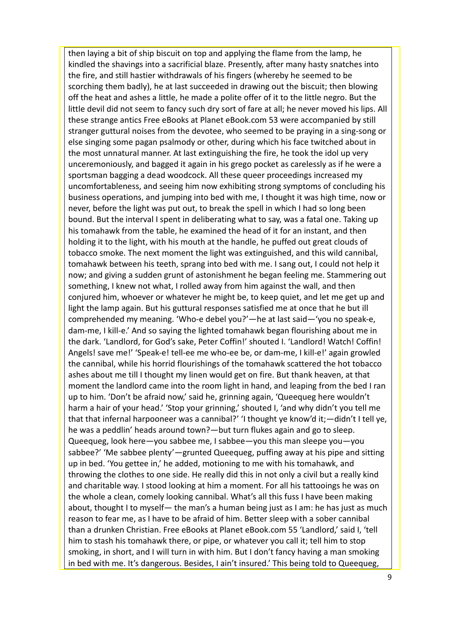then laying a bit of ship biscuit on top and applying the flame from the lamp, he kindled the shavings into a sacrificial blaze. Presently, after many hasty snatches into the fire, and still hastier withdrawals of his fingers (whereby he seemed to be scorching them badly), he at last succeeded in drawing out the biscuit; then blowing off the heat and ashes a little, he made a polite offer of it to the little negro. But the little devil did not seem to fancy such dry sort of fare at all; he never moved his lips. All these strange antics Free eBooks at Planet eBook.com 53 were accompanied by still stranger guttural noises from the devotee, who seemed to be praying in a sing-song or else singing some pagan psalmody or other, during which his face twitched about in the most unnatural manner. At last extinguishing the fire, he took the idol up very unceremoniously, and bagged it again in his grego pocket as carelessly as if he were a sportsman bagging a dead woodcock. All these queer proceedings increased my uncomfortableness, and seeing him now exhibiting strong symptoms of concluding his business operations, and jumping into bed with me, I thought it was high time, now or never, before the light was put out, to break the spell in which I had so long been bound. But the interval I spent in deliberating what to say, was a fatal one. Taking up his tomahawk from the table, he examined the head of it for an instant, and then holding it to the light, with his mouth at the handle, he puffed out great clouds of tobacco smoke. The next moment the light was extinguished, and this wild cannibal, tomahawk between his teeth, sprang into bed with me. I sang out, I could not help it now; and giving a sudden grunt of astonishment he began feeling me. Stammering out something, I knew not what, I rolled away from him against the wall, and then conjured him, whoever or whatever he might be, to keep quiet, and let me get up and light the lamp again. But his guttural responses satisfied me at once that he but ill comprehended my meaning. 'Who-e debel you?'—he at last said—'you no speak-e, dam-me, I kill-e.' And so saying the lighted tomahawk began flourishing about me in the dark. 'Landlord, for God's sake, Peter Coffin!' shouted I. 'Landlord! Watch! Coffin! Angels! save me!' 'Speak-e! tell-ee me who-ee be, or dam-me, I kill-e!' again growled the cannibal, while his horrid flourishings of the tomahawk scattered the hot tobacco ashes about me till I thought my linen would get on fire. But thank heaven, at that moment the landlord came into the room light in hand, and leaping from the bed I ran up to him. 'Don't be afraid now,' said he, grinning again, 'Queequeg here wouldn't harm a hair of your head.' 'Stop your grinning,' shouted I, 'and why didn't you tell me that that infernal harpooneer was a cannibal?' 'I thought ye know'd it;—didn't I tell ye, he was a peddlin' heads around town?—but turn flukes again and go to sleep. Queequeg, look here—you sabbee me, I sabbee—you this man sleepe you—you sabbee?' 'Me sabbee plenty'—grunted Queequeg, puffing away at his pipe and sitting up in bed. 'You gettee in,' he added, motioning to me with his tomahawk, and throwing the clothes to one side. He really did this in not only a civil but a really kind and charitable way. I stood looking at him a moment. For all his tattooings he was on the whole a clean, comely looking cannibal. What's all this fuss I have been making about, thought I to myself— the man's a human being just as I am: he has just as much reason to fear me, as I have to be afraid of him. Better sleep with a sober cannibal than a drunken Christian. Free eBooks at Planet eBook.com 55 'Landlord,' said I, 'tell him to stash his tomahawk there, or pipe, or whatever you call it; tell him to stop smoking, in short, and I will turn in with him. But I don't fancy having a man smoking in bed with me. It's dangerous. Besides, I ain't insured.' This being told to Queequeg,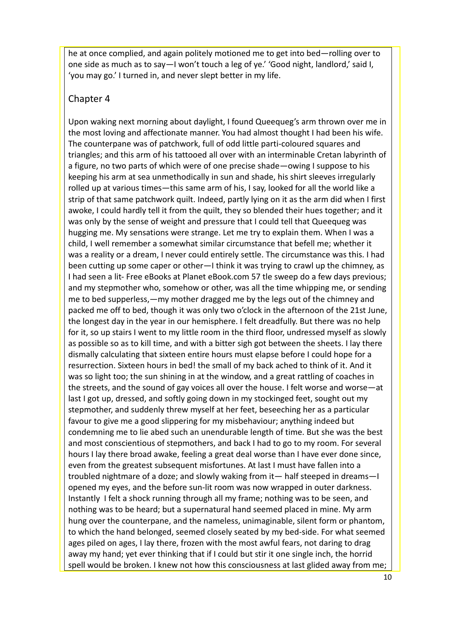he at once complied, and again politely motioned me to get into bed—rolling over to one side as much as to say—I won't touch a leg of ye.' 'Good night, landlord,' said I, 'you may go.' I turned in, and never slept better in my life.

#### Chapter 4

Upon waking next morning about daylight, I found Queequeg's arm thrown over me in the most loving and affectionate manner. You had almost thought I had been his wife. The counterpane was of patchwork, full of odd little parti-coloured squares and triangles; and this arm of his tattooed all over with an interminable Cretan labyrinth of a figure, no two parts of which were of one precise shade—owing I suppose to his keeping his arm at sea unmethodically in sun and shade, his shirt sleeves irregularly rolled up at various times—this same arm of his, I say, looked for all the world like a strip of that same patchwork quilt. Indeed, partly lying on it as the arm did when I first awoke, I could hardly tell it from the quilt, they so blended their hues together; and it was only by the sense of weight and pressure that I could tell that Queequeg was hugging me. My sensations were strange. Let me try to explain them. When I was a child, I well remember a somewhat similar circumstance that befell me; whether it was a reality or a dream, I never could entirely settle. The circumstance was this. I had been cutting up some caper or other—I think it was trying to crawl up the chimney, as I had seen a lit- Free eBooks at Planet eBook.com 57 tle sweep do a few days previous; and my stepmother who, somehow or other, was all the time whipping me, or sending me to bed supperless,—my mother dragged me by the legs out of the chimney and packed me off to bed, though it was only two o'clock in the afternoon of the 21st June, the longest day in the year in our hemisphere. I felt dreadfully. But there was no help for it, so up stairs I went to my little room in the third floor, undressed myself as slowly as possible so as to kill time, and with a bitter sigh got between the sheets. I lay there dismally calculating that sixteen entire hours must elapse before I could hope for a resurrection. Sixteen hours in bed! the small of my back ached to think of it. And it was so light too; the sun shining in at the window, and a great rattling of coaches in the streets, and the sound of gay voices all over the house. I felt worse and worse—at last I got up, dressed, and softly going down in my stockinged feet, sought out my stepmother, and suddenly threw myself at her feet, beseeching her as a particular favour to give me a good slippering for my misbehaviour; anything indeed but condemning me to lie abed such an unendurable length of time. But she was the best and most conscientious of stepmothers, and back I had to go to my room. For several hours I lay there broad awake, feeling a great deal worse than I have ever done since, even from the greatest subsequent misfortunes. At last I must have fallen into a troubled nightmare of a doze; and slowly waking from it— half steeped in dreams—I opened my eyes, and the before sun-lit room was now wrapped in outer darkness. Instantly I felt a shock running through all my frame; nothing was to be seen, and nothing was to be heard; but a supernatural hand seemed placed in mine. My arm hung over the counterpane, and the nameless, unimaginable, silent form or phantom, to which the hand belonged, seemed closely seated by my bed-side. For what seemed ages piled on ages, I lay there, frozen with the most awful fears, not daring to drag away my hand; yet ever thinking that if I could but stir it one single inch, the horrid spell would be broken. I knew not how this consciousness at last glided away from me;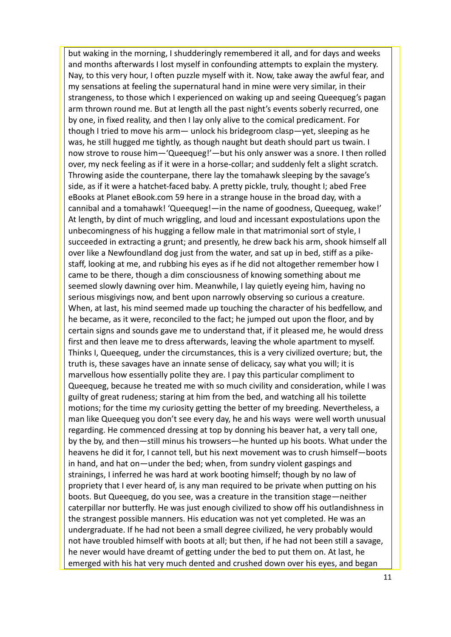but waking in the morning, I shudderingly remembered it all, and for days and weeks and months afterwards I lost myself in confounding attempts to explain the mystery. Nay, to this very hour, I often puzzle myself with it. Now, take away the awful fear, and my sensations at feeling the supernatural hand in mine were very similar, in their strangeness, to those which I experienced on waking up and seeing Queequeg's pagan arm thrown round me. But at length all the past night's events soberly recurred, one by one, in fixed reality, and then I lay only alive to the comical predicament. For though I tried to move his arm— unlock his bridegroom clasp—yet, sleeping as he was, he still hugged me tightly, as though naught but death should part us twain. I now strove to rouse him—'Queequeg!'—but his only answer was a snore. I then rolled over, my neck feeling as if it were in a horse-collar; and suddenly felt a slight scratch. Throwing aside the counterpane, there lay the tomahawk sleeping by the savage's side, as if it were a hatchet-faced baby. A pretty pickle, truly, thought I; abed Free eBooks at Planet eBook.com 59 here in a strange house in the broad day, with a cannibal and a tomahawk! 'Queequeg!—in the name of goodness, Queequeg, wake!' At length, by dint of much wriggling, and loud and incessant expostulations upon the unbecomingness of his hugging a fellow male in that matrimonial sort of style, I succeeded in extracting a grunt; and presently, he drew back his arm, shook himself all over like a Newfoundland dog just from the water, and sat up in bed, stiff as a pikestaff, looking at me, and rubbing his eyes as if he did not altogether remember how I came to be there, though a dim consciousness of knowing something about me seemed slowly dawning over him. Meanwhile, I lay quietly eyeing him, having no serious misgivings now, and bent upon narrowly observing so curious a creature. When, at last, his mind seemed made up touching the character of his bedfellow, and he became, as it were, reconciled to the fact; he jumped out upon the floor, and by certain signs and sounds gave me to understand that, if it pleased me, he would dress first and then leave me to dress afterwards, leaving the whole apartment to myself. Thinks I, Queequeg, under the circumstances, this is a very civilized overture; but, the truth is, these savages have an innate sense of delicacy, say what you will; it is marvellous how essentially polite they are. I pay this particular compliment to Queequeg, because he treated me with so much civility and consideration, while I was guilty of great rudeness; staring at him from the bed, and watching all his toilette motions; for the time my curiosity getting the better of my breeding. Nevertheless, a man like Queequeg you don't see every day, he and his ways were well worth unusual regarding. He commenced dressing at top by donning his beaver hat, a very tall one, by the by, and then—still minus his trowsers—he hunted up his boots. What under the heavens he did it for, I cannot tell, but his next movement was to crush himself—boots in hand, and hat on—under the bed; when, from sundry violent gaspings and strainings, I inferred he was hard at work booting himself; though by no law of propriety that I ever heard of, is any man required to be private when putting on his boots. But Queequeg, do you see, was a creature in the transition stage—neither caterpillar nor butterfly. He was just enough civilized to show off his outlandishness in the strangest possible manners. His education was not yet completed. He was an undergraduate. If he had not been a small degree civilized, he very probably would not have troubled himself with boots at all; but then, if he had not been still a savage, he never would have dreamt of getting under the bed to put them on. At last, he emerged with his hat very much dented and crushed down over his eyes, and began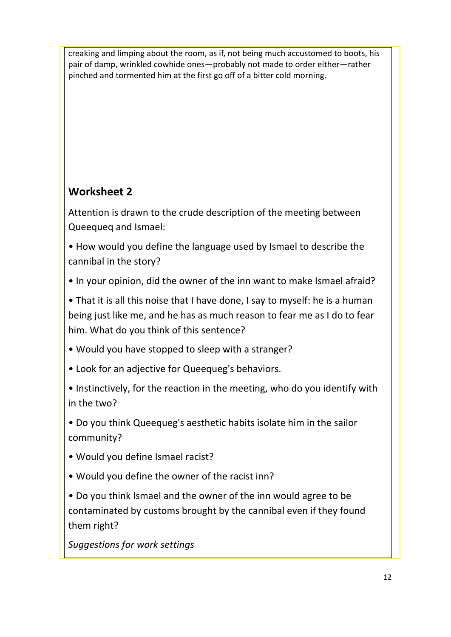creaking and limping about the room, as if, not being much accustomed to boots, his pair of damp, wrinkled cowhide ones—probably not made to order either—rather pinched and tormented him at the first go off of a bitter cold morning.

# **Worksheet 2**

Attention is drawn to the crude description of the meeting between Queequeq and Ismael:

• How would you define the language used by Ismael to describe the cannibal in the story?

• In your opinion, did the owner of the inn want to make Ismael afraid?

• That it is all this noise that I have done, I say to myself: he is a human being just like me, and he has as much reason to fear me as I do to fear him. What do you think of this sentence?

- Would you have stopped to sleep with a stranger?
- Look for an adjective for Queequeg's behaviors.
- Instinctively, for the reaction in the meeting, who do you identify with in the two?
- Do you think Queequeg's aesthetic habits isolate him in the sailor community?
- Would you define Ismael racist?
- Would you define the owner of the racist inn?

• Do you think Ismael and the owner of the inn would agree to be contaminated by customs brought by the cannibal even if they found them right?

*Suggestions for work settings*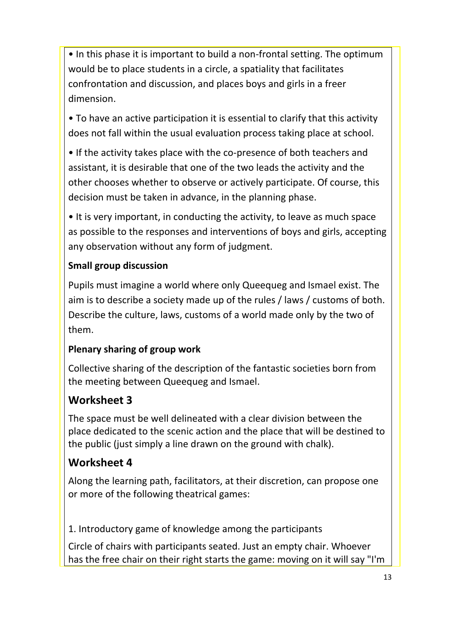• In this phase it is important to build a non-frontal setting. The optimum would be to place students in a circle, a spatiality that facilitates confrontation and discussion, and places boys and girls in a freer dimension.

• To have an active participation it is essential to clarify that this activity does not fall within the usual evaluation process taking place at school.

• If the activity takes place with the co-presence of both teachers and assistant, it is desirable that one of the two leads the activity and the other chooses whether to observe or actively participate. Of course, this decision must be taken in advance, in the planning phase.

• It is very important, in conducting the activity, to leave as much space as possible to the responses and interventions of boys and girls, accepting any observation without any form of judgment.

# **Small group discussion**

Pupils must imagine a world where only Queequeg and Ismael exist. The aim is to describe a society made up of the rules / laws / customs of both. Describe the culture, laws, customs of a world made only by the two of them.

# **Plenary sharing of group work**

Collective sharing of the description of the fantastic societies born from the meeting between Queequeg and Ismael.

# **Worksheet 3**

The space must be well delineated with a clear division between the place dedicated to the scenic action and the place that will be destined to the public (just simply a line drawn on the ground with chalk).

# **Worksheet 4**

Along the learning path, facilitators, at their discretion, can propose one or more of the following theatrical games:

1. Introductory game of knowledge among the participants

Circle of chairs with participants seated. Just an empty chair. Whoever has the free chair on their right starts the game: moving on it will say "I'm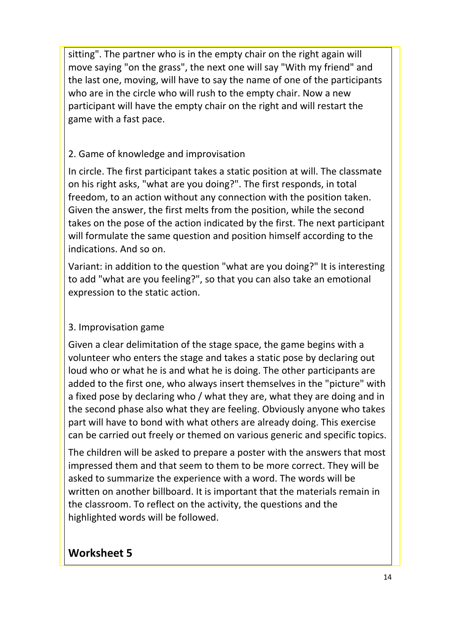sitting". The partner who is in the empty chair on the right again will move saying "on the grass", the next one will say "With my friend" and the last one, moving, will have to say the name of one of the participants who are in the circle who will rush to the empty chair. Now a new participant will have the empty chair on the right and will restart the game with a fast pace.

# 2. Game of knowledge and improvisation

In circle. The first participant takes a static position at will. The classmate on his right asks, "what are you doing?". The first responds, in total freedom, to an action without any connection with the position taken. Given the answer, the first melts from the position, while the second takes on the pose of the action indicated by the first. The next participant will formulate the same question and position himself according to the indications. And so on.

Variant: in addition to the question "what are you doing?" It is interesting to add "what are you feeling?", so that you can also take an emotional expression to the static action.

# 3. Improvisation game

Given a clear delimitation of the stage space, the game begins with a volunteer who enters the stage and takes a static pose by declaring out loud who or what he is and what he is doing. The other participants are added to the first one, who always insert themselves in the "picture" with a fixed pose by declaring who / what they are, what they are doing and in the second phase also what they are feeling. Obviously anyone who takes part will have to bond with what others are already doing. This exercise can be carried out freely or themed on various generic and specific topics.

The children will be asked to prepare a poster with the answers that most impressed them and that seem to them to be more correct. They will be asked to summarize the experience with a word. The words will be written on another billboard. It is important that the materials remain in the classroom. To reflect on the activity, the questions and the highlighted words will be followed.

# **Worksheet 5**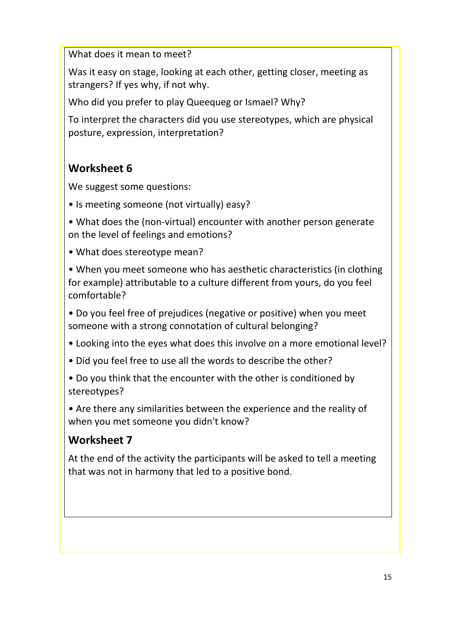What does it mean to meet?

Was it easy on stage, looking at each other, getting closer, meeting as strangers? If yes why, if not why.

Who did you prefer to play Queequeg or Ismael? Why?

To interpret the characters did you use stereotypes, which are physical posture, expression, interpretation?

# **Worksheet 6**

We suggest some questions:

• Is meeting someone (not virtually) easy?

• What does the (non-virtual) encounter with another person generate on the level of feelings and emotions?

• What does stereotype mean?

• When you meet someone who has aesthetic characteristics (in clothing for example) attributable to a culture different from yours, do you feel comfortable?

• Do you feel free of prejudices (negative or positive) when you meet someone with a strong connotation of cultural belonging?

- Looking into the eyes what does this involve on a more emotional level?
- Did you feel free to use all the words to describe the other?
- Do you think that the encounter with the other is conditioned by stereotypes?

• Are there any similarities between the experience and the reality of when you met someone you didn't know?

# **Worksheet 7**

At the end of the activity the participants will be asked to tell a meeting that was not in harmony that led to a positive bond.